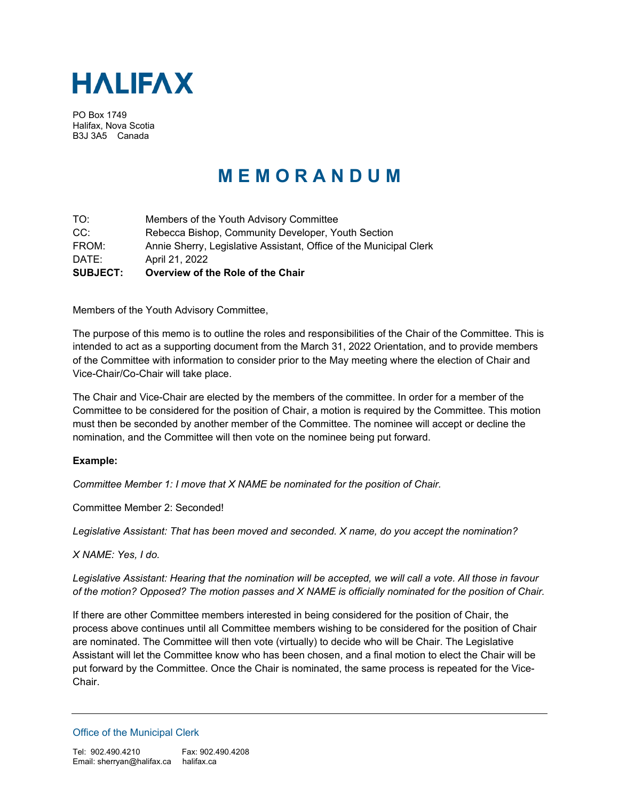

PO Box 1749 Halifax, Nova Scotia B3J 3A5 Canada

## **M E M O R A N D U M**

TO: Members of the Youth Advisory Committee CC: Rebecca Bishop, Community Developer, Youth Section FROM: Annie Sherry, Legislative Assistant, Office of the Municipal Clerk DATE: April 21, 2022 **SUBJECT: Overview of the Role of the Chair**

Members of the Youth Advisory Committee,

The purpose of this memo is to outline the roles and responsibilities of the Chair of the Committee. This is intended to act as a supporting document from the March 31, 2022 Orientation, and to provide members of the Committee with information to consider prior to the May meeting where the election of Chair and Vice-Chair/Co-Chair will take place.

The Chair and Vice-Chair are elected by the members of the committee. In order for a member of the Committee to be considered for the position of Chair, a motion is required by the Committee. This motion must then be seconded by another member of the Committee. The nominee will accept or decline the nomination, and the Committee will then vote on the nominee being put forward.

## **Example:**

*Committee Member 1: I move that X NAME be nominated for the position of Chair.* 

Committee Member 2: Seconded!

*Legislative Assistant: That has been moved and seconded. X name, do you accept the nomination?* 

*X NAME: Yes, I do.*

*Legislative Assistant: Hearing that the nomination will be accepted, we will call a vote. All those in favour of the motion? Opposed? The motion passes and X NAME is officially nominated for the position of Chair.*

If there are other Committee members interested in being considered for the position of Chair, the process above continues until all Committee members wishing to be considered for the position of Chair are nominated. The Committee will then vote (virtually) to decide who will be Chair. The Legislative Assistant will let the Committee know who has been chosen, and a final motion to elect the Chair will be put forward by the Committee. Once the Chair is nominated, the same process is repeated for the Vice-Chair.

Office of the Municipal Clerk